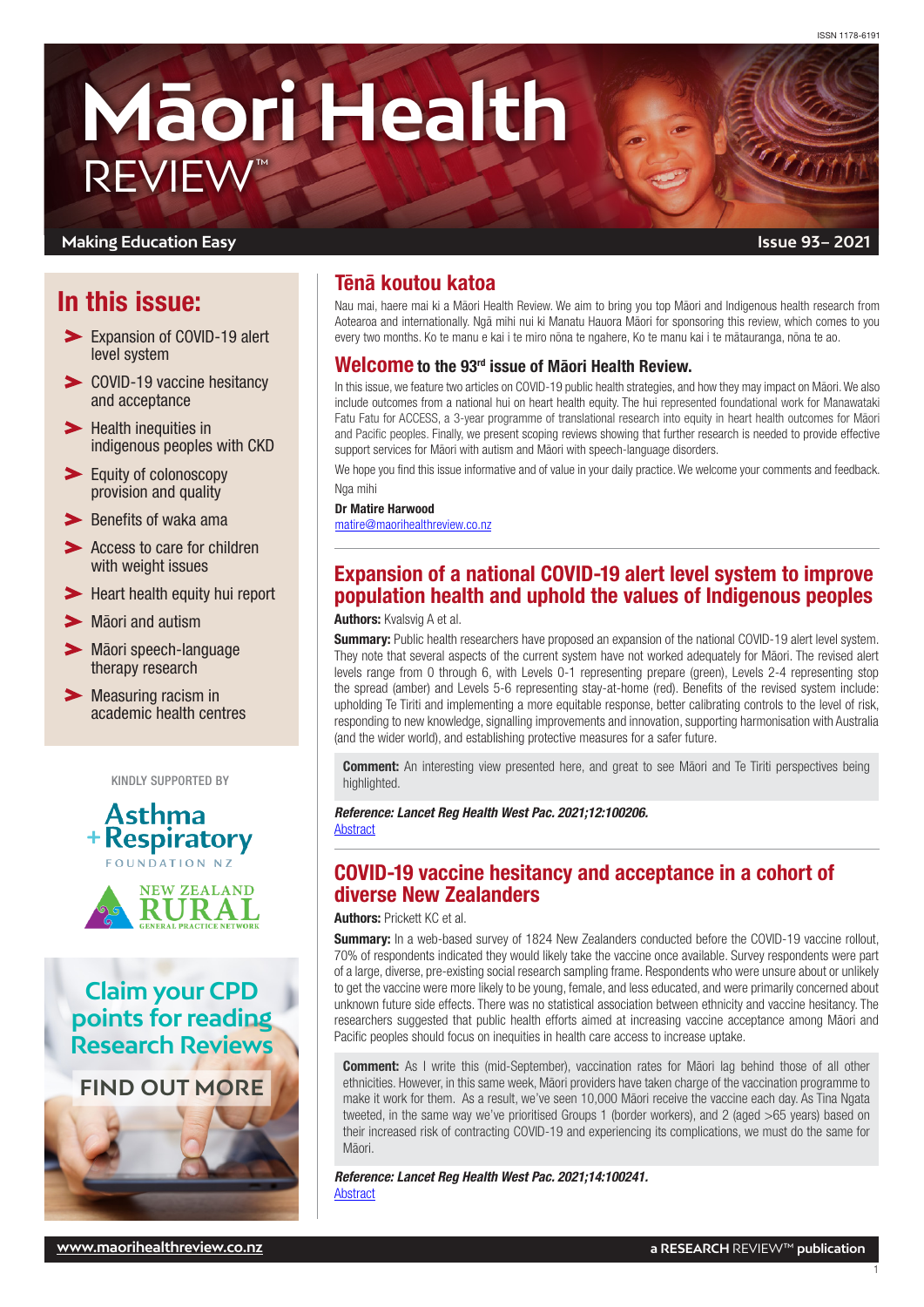# **Māori Health** REVIEW™

#### **Making Education Easy**

# In this issue:

- **Expansion of COVID-19 alert** level system
- COVID-19 vaccine hesitancy and acceptance
- **Solution** inequities in [indigenous peoples with CKD](#page-1-0)
- $\blacktriangleright$ [Equity of colonoscopy](#page-1-0)  [provision and quality](#page-1-0)
- $\blacktriangleright$  [Benefits of waka ama](#page-1-0)
- Access to care for children [with weight issues](#page-1-0)
- [Heart health equity hui report](#page-2-0)
- **>** [Māori and autism](#page-2-0)
- [Māori speech-language](#page-2-0)  [therapy research](#page-2-0)
- **Measuring racism in** [academic health centres](#page-2-0)

KINDLY SUPPORTED BY





**Claim your CPD points for reading Research Reviews**

**[FIND OUT MORE](https://www.researchreview.co.nz/nz/CPD.aspx)**



# Tēnā koutou katoa

Nau mai, haere mai ki a Māori Health Review. We aim to bring you top Māori and Indigenous health research from Aotearoa and internationally. Ngā mihi nui ki Manatu Hauora Māori for sponsoring this review, which comes to you every two months. Ko te manu e kai i te miro nōna te ngahere, Ko te manu kai i te mātauranga, nōna te ao.

## Welcome to the 93rd issue of Māori Health Review.

In this issue, we feature two articles on COVID-19 public health strategies, and how they may impact on Māori. We also include outcomes from a national hui on heart health equity. The hui represented foundational work for Manawataki Fatu Fatu for ACCESS, a 3-year programme of translational research into equity in heart health outcomes for Māori and Pacific peoples. Finally, we present scoping reviews showing that further research is needed to provide effective support services for Māori with autism and Māori with speech-language disorders.

We hope you find this issue informative and of value in your daily practice. We welcome your comments and feedback. Nga mihi

#### Dr Matire Harwood

[matire@maorihealthreview.co.nz](mailto:matire%40maorihealthreview.co.nz?subject=)

# Expansion of a national COVID-19 alert level system to improve population health and uphold the values of Indigenous peoples

## Authors: Kvalsvig A et al.

**Summary:** Public health researchers have proposed an expansion of the national COVID-19 alert level system. They note that several aspects of the current system have not worked adequately for Māori. The revised alert levels range from 0 through 6, with Levels 0-1 representing prepare (green), Levels 2-4 representing stop the spread (amber) and Levels 5-6 representing stay-at-home (red). Benefits of the revised system include: upholding Te Tiriti and implementing a more equitable response, better calibrating controls to the level of risk, responding to new knowledge, signalling improvements and innovation, supporting harmonisation with Australia (and the wider world), and establishing protective measures for a safer future.

**Comment:** An interesting view presented here, and great to see Māori and Te Tiriti perspectives being highlighted.

*Reference: Lancet Reg Health West Pac. 2021;12:100206.*  [Abstract](https://www.thelancet.com/journals/lanwpc/article/PIIS2666-6065(21)00115-2/fulltext)

## COVID-19 vaccine hesitancy and acceptance in a cohort of diverse New Zealanders

Authors: Prickett KC et al.

Summary: In a web-based survey of 1824 New Zealanders conducted before the COVID-19 vaccine rollout, 70% of respondents indicated they would likely take the vaccine once available. Survey respondents were part of a large, diverse, pre-existing social research sampling frame. Respondents who were unsure about or unlikely to get the vaccine were more likely to be young, female, and less educated, and were primarily concerned about unknown future side effects. There was no statistical association between ethnicity and vaccine hesitancy. The researchers suggested that public health efforts aimed at increasing vaccine acceptance among Māori and Pacific peoples should focus on inequities in health care access to increase uptake.

**Comment:** As I write this (mid-September), vaccination rates for Māori lag behind those of all other ethnicities. However, in this same week, Māori providers have taken charge of the vaccination programme to make it work for them. As a result, we've seen 10,000 Māori receive the vaccine each day. As Tina Ngata tweeted, in the same way we've prioritised Groups 1 (border workers), and 2 (aged >65 years) based on their increased risk of contracting COVID-19 and experiencing its complications, we must do the same for Māori.

*Reference: Lancet Reg Health West Pac. 2021;14:100241.* **[Abstract](https://www.thelancet.com/journals/lanwpc/article/PIIS2666-6065(21)00150-4/fulltext)** 

1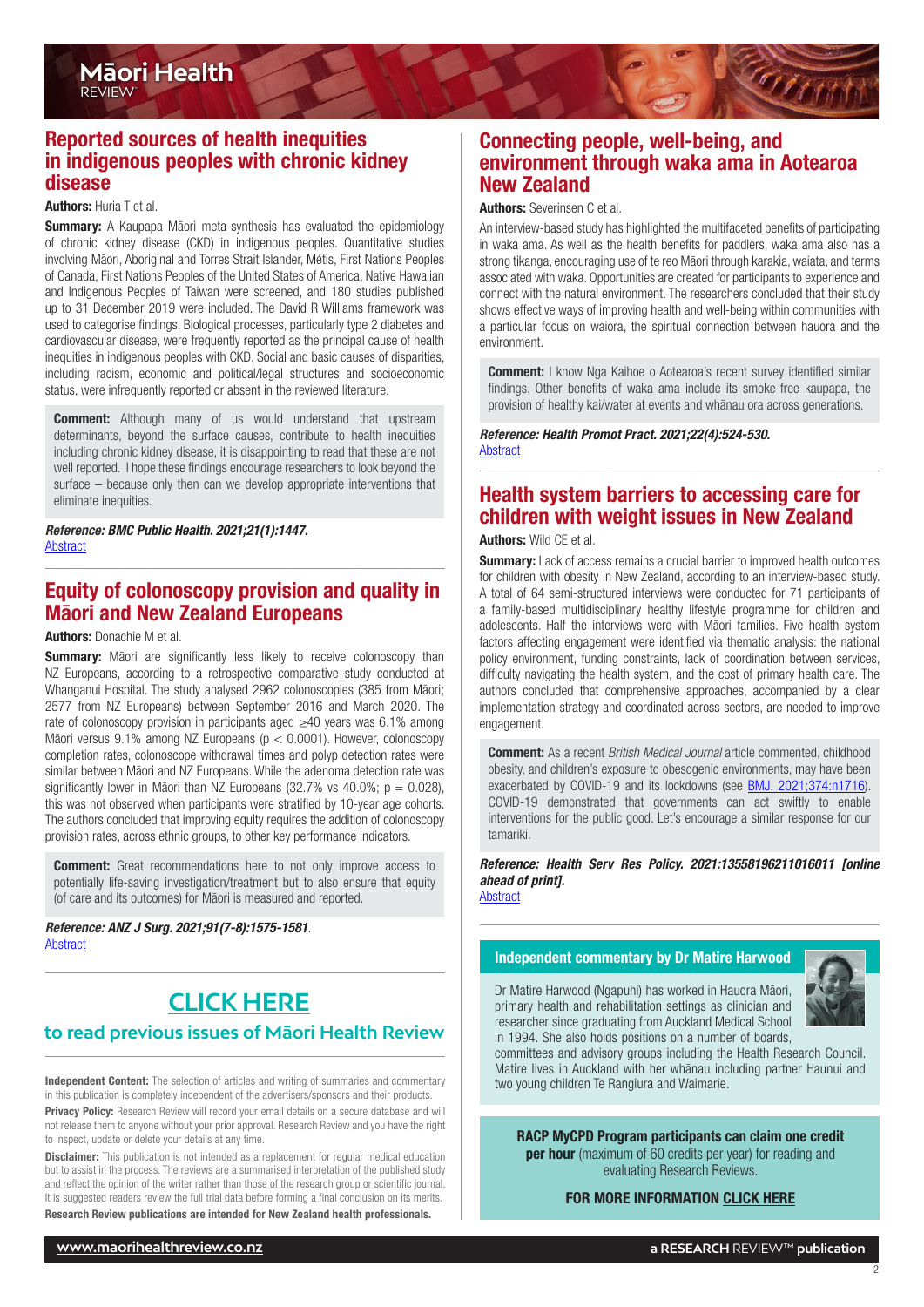<span id="page-1-0"></span>

#### Authors: Huria T et al.

**Summary:** A Kaupapa Māori meta-synthesis has evaluated the epidemiology of chronic kidney disease (CKD) in indigenous peoples. Quantitative studies involving Māori, Aboriginal and Torres Strait Islander, Métis, First Nations Peoples of Canada, First Nations Peoples of the United States of America, Native Hawaiian and Indigenous Peoples of Taiwan were screened, and 180 studies published up to 31 December 2019 were included. The David R Williams framework was used to categorise findings. Biological processes, particularly type 2 diabetes and cardiovascular disease, were frequently reported as the principal cause of health inequities in indigenous peoples with CKD. Social and basic causes of disparities, including racism, economic and political/legal structures and socioeconomic status, were infrequently reported or absent in the reviewed literature.

**Comment:** Although many of us would understand that upstream determinants, beyond the surface causes, contribute to health inequities including chronic kidney disease, it is disappointing to read that these are not well reported. I hope these findings encourage researchers to look beyond the surface – because only then can we develop appropriate interventions that eliminate inequities.

*Reference: BMC Public Health. 2021;21(1):1447.* [Abstract](https://bmcpublichealth.biomedcentral.com/articles/10.1186/s12889-021-11180-2)

## Equity of colonoscopy provision and quality in Māori and New Zealand Europeans

#### Authors: Donachie M et al.

**Summary:** Māori are significantly less likely to receive colonoscopy than NZ Europeans, according to a retrospective comparative study conducted at Whanganui Hospital. The study analysed 2962 colonoscopies (385 from Māori; 2577 from NZ Europeans) between September 2016 and March 2020. The rate of colonoscopy provision in participants aged ≥40 years was 6.1% among Māori versus 9.1% among NZ Europeans (p < 0.0001). However, colonoscopy completion rates, colonoscope withdrawal times and polyp detection rates were similar between Māori and NZ Europeans. While the adenoma detection rate was significantly lower in Māori than NZ Europeans (32.7% vs 40.0%;  $p = 0.028$ ), this was not observed when participants were stratified by 10-year age cohorts. The authors concluded that improving equity requires the addition of colonoscopy provision rates, across ethnic groups, to other key performance indicators.

**Comment:** Great recommendations here to not only improve access to potentially life-saving investigation/treatment but to also ensure that equity (of care and its outcomes) for Māori is measured and reported.

*Reference: ANZ J Surg. 2021;91(7-8):1575-1581*. [Abstract](https://onlinelibrary.wiley.com/doi/10.1111/ans.16636)

# **to read previous issues of Māori Health Review [CLICK HERE](http://www.maorihealthreview.co.nz)**

Independent Content: The selection of articles and writing of summaries and commentary in this publication is completely independent of the advertisers/sponsors and their products.

Privacy Policy: Research Review will record your email details on a secure database and will not release them to anyone without your prior approval. Research Review and you have the right to inspect, update or delete your details at any time.

**Disclaimer:** This publication is not intended as a replacement for regular medical education but to assist in the process. The reviews are a summarised interpretation of the published study and reflect the opinion of the writer rather than those of the research group or scientific journal. It is suggested readers review the full trial data before forming a final conclusion on its merits. Research Review publications are intended for New Zealand health professionals.

## Connecting people, well-being, and environment through waka ama in Aotearoa New Zealand

#### Authors: Severinsen C et al.

An interview-based study has highlighted the multifaceted benefits of participating in waka ama. As well as the health benefits for paddlers, waka ama also has a strong tikanga, encouraging use of te reo Māori through karakia, waiata, and terms associated with waka. Opportunities are created for participants to experience and connect with the natural environment. The researchers concluded that their study shows effective ways of improving health and well-being within communities with a particular focus on waiora, the spiritual connection between hauora and the environment.

**Comment:** I know Nga Kaihoe o Aotearoa's recent survey identified similar findings. Other benefits of waka ama include its smoke-free kaupapa, the provision of healthy kai/water at events and whānau ora across generations.

*Reference: Health Promot Pract. 2021;22(4):524-530.* [Abstract](https://journals.sagepub.com/doi/10.1177/1524839920978156?url_ver=Z39.88-2003&rfr_id=ori:rid:crossref.org&rfr_dat=cr_pub%20%200pubmed)

## Health system barriers to accessing care for children with weight issues in New Zealand **Authors: Wild CE et al.**

**Summary:** Lack of access remains a crucial barrier to improved health outcomes for children with obesity in New Zealand, according to an interview-based study. A total of 64 semi-structured interviews were conducted for 71 participants of a family-based multidisciplinary healthy lifestyle programme for children and adolescents. Half the interviews were with Māori families. Five health system factors affecting engagement were identified via thematic analysis: the national policy environment, funding constraints, lack of coordination between services, difficulty navigating the health system, and the cost of primary health care. The authors concluded that comprehensive approaches, accompanied by a clear implementation strategy and coordinated across sectors, are needed to improve engagement.

Comment: As a recent *British Medical Journal* article commented, childhood obesity, and children's exposure to obesogenic environments, may have been exacerbated by COVID-19 and its lockdowns (see **[BMJ. 2021;374:n1716](https://www.bmj.com/content/374/bmj.n1716)**). COVID-19 demonstrated that governments can act swiftly to enable interventions for the public good. Let's encourage a similar response for our tamariki.

*Reference: Health Serv Res Policy. 2021:13558196211016011 [online ahead of print].* **[Abstract](https://journals.sagepub.com/doi/10.1177/13558196211016011?url_ver=Z39.88-2003&rfr_id=ori:rid:crossref.org&rfr_dat=cr_pub%20%200pubmed)** 

#### Independent commentary by Dr Matire Harwood

Dr Matire Harwood (Ngapuhi) has worked in Hauora Māori,



2

primary health and rehabilitation settings as clinician and researcher since graduating from Auckland Medical School in 1994. She also holds positions on a number of boards,

committees and advisory groups including the Health Research Council. Matire lives in Auckland with her whānau including partner Haunui and two young children Te Rangiura and Waimarie.

RACP MyCPD Program participants can claim one credit **per hour** (maximum of 60 credits per year) for reading and evaluating Research Reviews.

#### FOR MORE INFORMATION [CLICK HERE](https://www.racp.edu.au/fellows/continuing-professional-development)